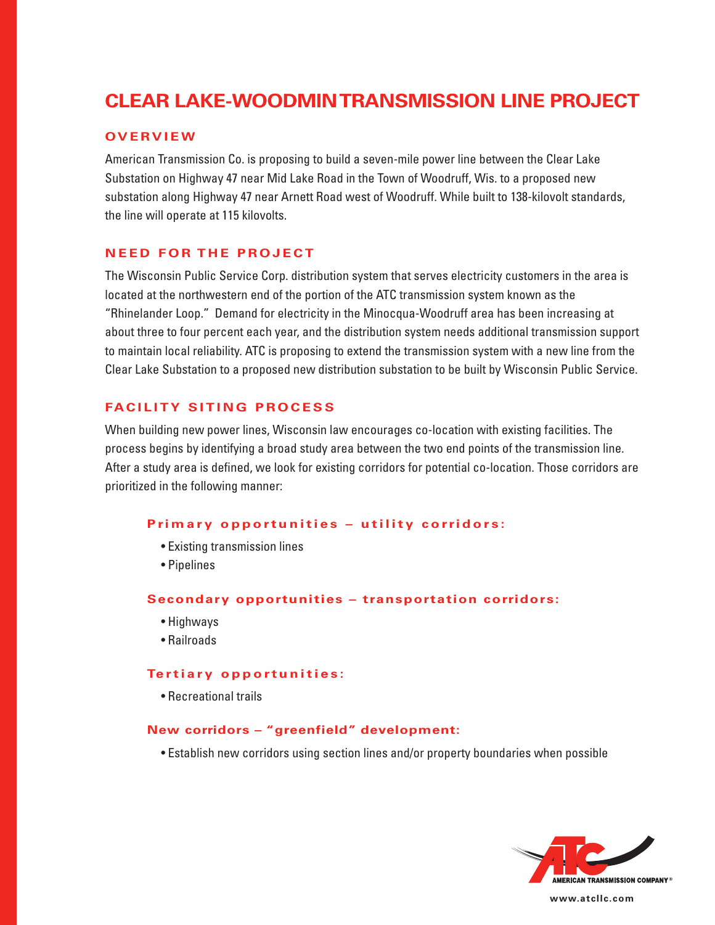# **Clear Lake-Woodmin Transmission Line Project**

#### **OV ERV IEW**

American Transmission Co. is proposing to build a seven-mile power line between the Clear Lake Substation on Highway 47 near Mid Lake Road in the Town of Woodruff, Wis. to a proposed new substation along Highway 47 near Arnett Road west of Woodruff. While built to 138-kilovolt standards, the line will operate at 115 kilovolts.

# **NEED FOR THE PROJECT**

The Wisconsin Public Service Corp. distribution system that serves electricity customers in the area is located at the northwestern end of the portion of the ATC transmission system known as the "Rhinelander Loop." Demand for electricity in the Minocqua-Woodruff area has been increasing at about three to four percent each year, and the distribution system needs additional transmission support to maintain local reliability. ATC is proposing to extend the transmission system with a new line from the Clear Lake Substation to a proposed new distribution substation to be built by Wisconsin Public Service.

# **FACILITY SITING PROCESS**

When building new power lines, Wisconsin law encourages co-location with existing facilities. The process begins by identifying a broad study area between the two end points of the transmission line. After a study area is defined, we look for existing corridors for potential co-location. Those corridors are prioritized in the following manner:

#### **Primary opportunities - utility corridors:**

- • Existing transmission lines
- • Pipelines

#### **Secondary opportunities – transportation corridors:**

- Highways
- • Railroads

#### **Tertiary opportunities:**

 • Recreational trails

#### **New corridors – "greenfield" development:**

 • Establish new corridors using section lines and/or property boundaries when possible



**www.atcllc.com**